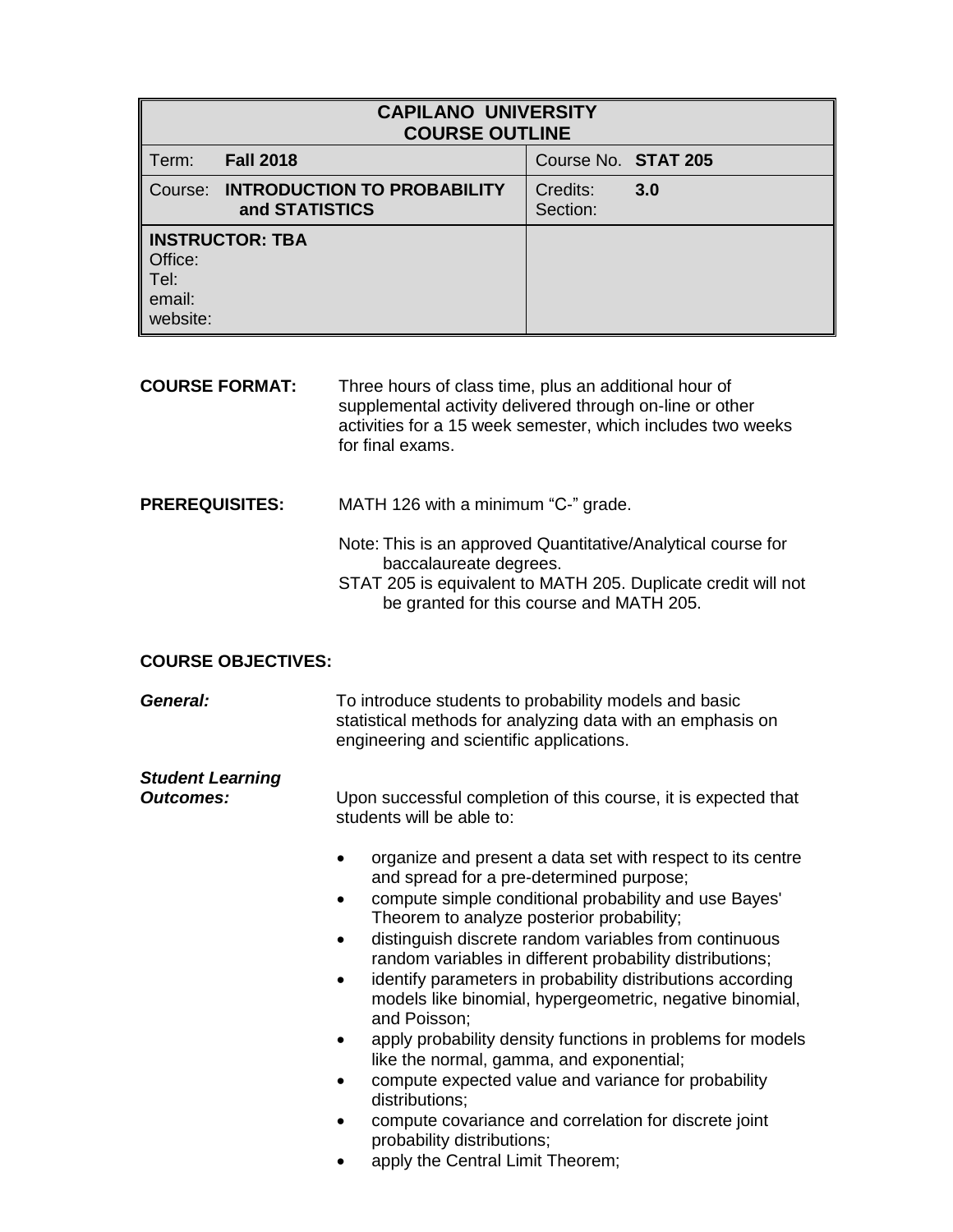| <b>CAPILANO UNIVERSITY</b><br><b>COURSE OUTLINE</b>               |                                                              |                      |     |
|-------------------------------------------------------------------|--------------------------------------------------------------|----------------------|-----|
| Term:                                                             | <b>Fall 2018</b>                                             | Course No. STAT 205  |     |
|                                                                   | <b>Course: INTRODUCTION TO PROBABILITY</b><br>and STATISTICS | Credits:<br>Section: | 3.0 |
| <b>INSTRUCTOR: TBA</b><br>Office:<br>∥ Tel:<br>email:<br>website: |                                                              |                      |     |

**COURSE FORMAT:** Three hours of class time, plus an additional hour of supplemental activity delivered through on-line or other activities for a 15 week semester, which includes two weeks for final exams.

## **PREREQUISITES:** MATH 126 with a minimum "C-" grade.

- Note: This is an approved Quantitative/Analytical course for baccalaureate degrees.
	- STAT 205 is equivalent to MATH 205. Duplicate credit will not be granted for this course and MATH 205.

## **COURSE OBJECTIVES:**

| General:                                    | To introduce students to probability models and basic<br>statistical methods for analyzing data with an emphasis on<br>engineering and scientific applications.                                                                                                                                                                                                                                                                                                                                                                                                                                                                                                                                                                                                                                                                       |  |
|---------------------------------------------|---------------------------------------------------------------------------------------------------------------------------------------------------------------------------------------------------------------------------------------------------------------------------------------------------------------------------------------------------------------------------------------------------------------------------------------------------------------------------------------------------------------------------------------------------------------------------------------------------------------------------------------------------------------------------------------------------------------------------------------------------------------------------------------------------------------------------------------|--|
| <b>Student Learning</b><br><b>Outcomes:</b> | Upon successful completion of this course, it is expected that<br>students will be able to:                                                                                                                                                                                                                                                                                                                                                                                                                                                                                                                                                                                                                                                                                                                                           |  |
|                                             | organize and present a data set with respect to its centre<br>and spread for a pre-determined purpose;<br>compute simple conditional probability and use Bayes'<br>$\bullet$<br>Theorem to analyze posterior probability;<br>distinguish discrete random variables from continuous<br>random variables in different probability distributions;<br>identify parameters in probability distributions according<br>٠<br>models like binomial, hypergeometric, negative binomial,<br>and Poisson;<br>apply probability density functions in problems for models<br>like the normal, gamma, and exponential;<br>compute expected value and variance for probability<br>$\bullet$<br>distributions;<br>compute covariance and correlation for discrete joint<br>$\bullet$<br>probability distributions;<br>apply the Central Limit Theorem; |  |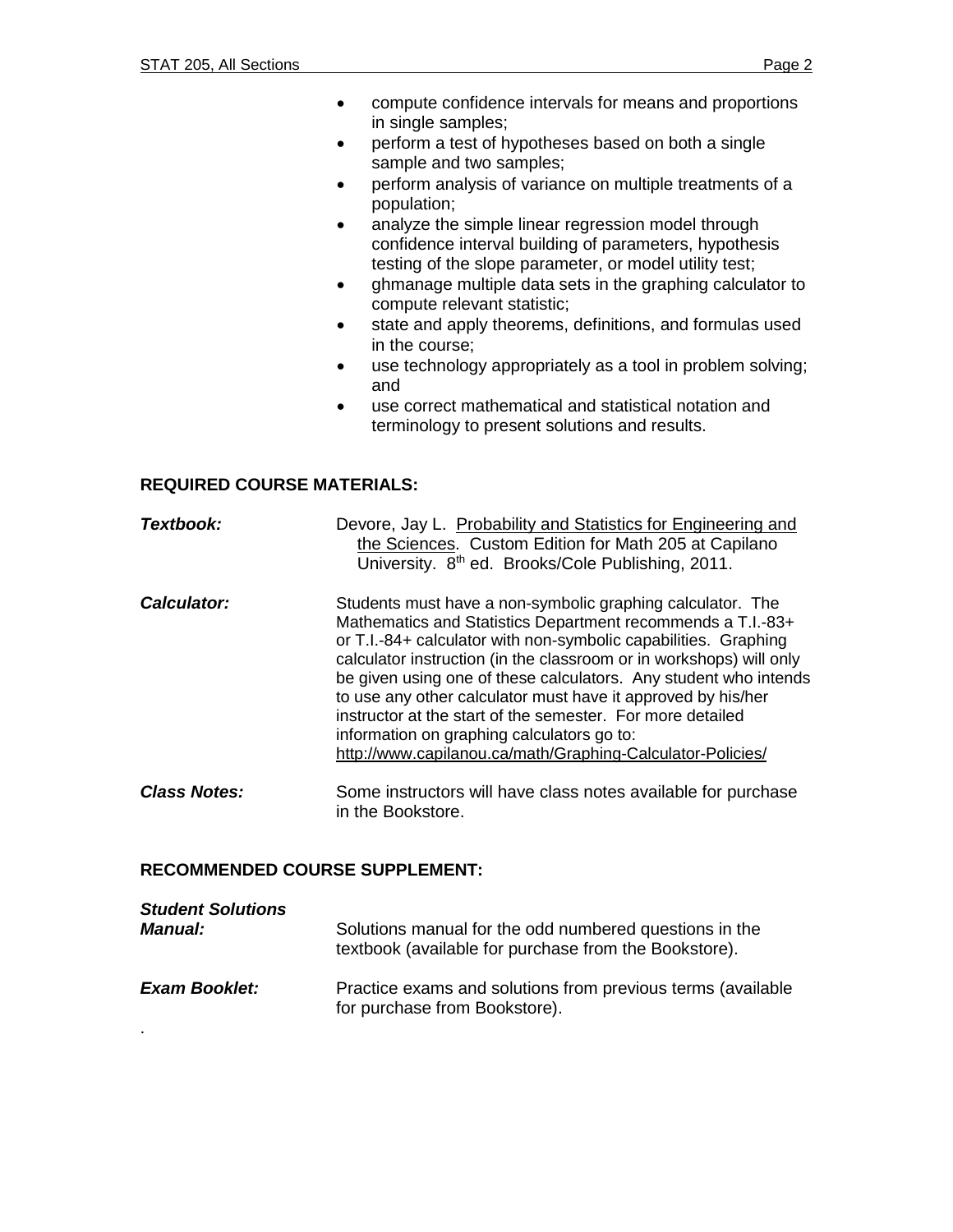- compute confidence intervals for means and proportions in single samples;
- perform a test of hypotheses based on both a single sample and two samples;
- perform analysis of variance on multiple treatments of a population;
- analyze the simple linear regression model through confidence interval building of parameters, hypothesis testing of the slope parameter, or model utility test;
- ghmanage multiple data sets in the graphing calculator to compute relevant statistic;
- state and apply theorems, definitions, and formulas used in the course;
- use technology appropriately as a tool in problem solving; and
- use correct mathematical and statistical notation and terminology to present solutions and results.

## **REQUIRED COURSE MATERIALS:**

| Textbook:           | Devore, Jay L. Probability and Statistics for Engineering and<br>the Sciences. Custom Edition for Math 205 at Capilano<br>University. 8 <sup>th</sup> ed. Brooks/Cole Publishing, 2011.                                                                                                                                                                                                                                                                                                                                                                                           |
|---------------------|-----------------------------------------------------------------------------------------------------------------------------------------------------------------------------------------------------------------------------------------------------------------------------------------------------------------------------------------------------------------------------------------------------------------------------------------------------------------------------------------------------------------------------------------------------------------------------------|
| Calculator:         | Students must have a non-symbolic graphing calculator. The<br>Mathematics and Statistics Department recommends a T.I.-83+<br>or T.I.-84+ calculator with non-symbolic capabilities. Graphing<br>calculator instruction (in the classroom or in workshops) will only<br>be given using one of these calculators. Any student who intends<br>to use any other calculator must have it approved by his/her<br>instructor at the start of the semester. For more detailed<br>information on graphing calculators go to:<br>http://www.capilanou.ca/math/Graphing-Calculator-Policies/ |
| <b>Class Notes:</b> | Some instructors will have class notes available for purchase                                                                                                                                                                                                                                                                                                                                                                                                                                                                                                                     |

# **RECOMMENDED COURSE SUPPLEMENT:**

| <b>Student Solutions</b> | Solutions manual for the odd numbered questions in the                                       |
|--------------------------|----------------------------------------------------------------------------------------------|
| <b>Manual:</b>           | textbook (available for purchase from the Bookstore).                                        |
| <b>Exam Booklet:</b>     | Practice exams and solutions from previous terms (available<br>for purchase from Bookstore). |

in the Bookstore.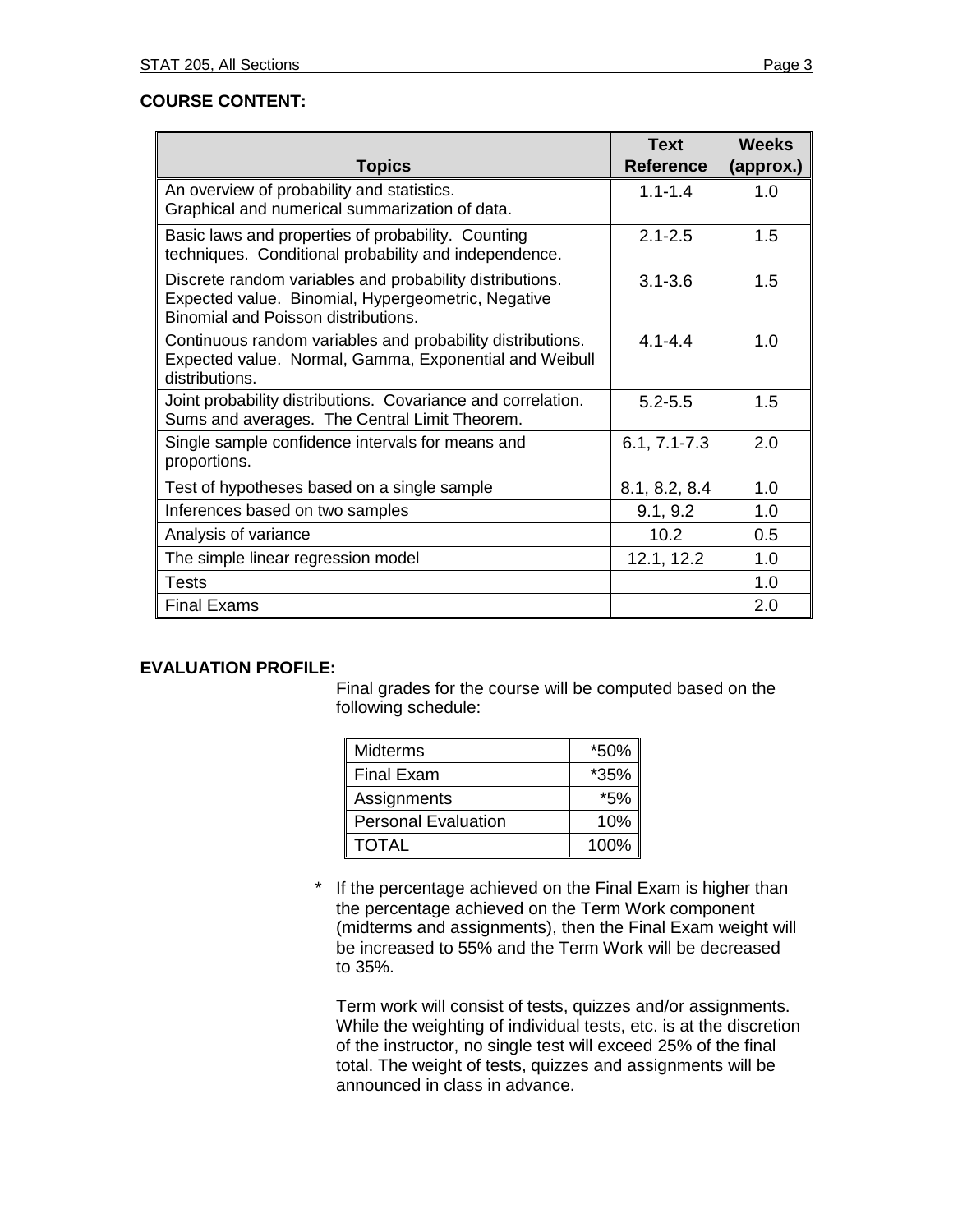## **COURSE CONTENT:**

| <b>Topics</b>                                                                                                                                         | <b>Text</b><br><b>Reference</b> | <b>Weeks</b><br>(approx.) |
|-------------------------------------------------------------------------------------------------------------------------------------------------------|---------------------------------|---------------------------|
| An overview of probability and statistics.<br>Graphical and numerical summarization of data.                                                          | $1.1 - 1.4$                     | 1.0                       |
| Basic laws and properties of probability. Counting<br>techniques. Conditional probability and independence.                                           | $2.1 - 2.5$                     | 1.5                       |
| Discrete random variables and probability distributions.<br>Expected value. Binomial, Hypergeometric, Negative<br>Binomial and Poisson distributions. | $3.1 - 3.6$                     | 1.5                       |
| Continuous random variables and probability distributions.<br>Expected value. Normal, Gamma, Exponential and Weibull<br>distributions.                | $41 - -44$                      | 1.0                       |
| Joint probability distributions. Covariance and correlation.<br>Sums and averages. The Central Limit Theorem.                                         | $5.2 - 5.5$                     | 1.5                       |
| Single sample confidence intervals for means and<br>proportions.                                                                                      | $6.1, 7.1 - 7.3$                | 2.0                       |
| Test of hypotheses based on a single sample                                                                                                           | 8.1, 8.2, 8.4                   | 1.0                       |
| Inferences based on two samples                                                                                                                       | 9.1, 9.2                        | 1.0                       |
| Analysis of variance                                                                                                                                  | 10.2                            | 0.5                       |
| The simple linear regression model                                                                                                                    | 12.1, 12.2                      | 1.0                       |
| <b>Tests</b>                                                                                                                                          |                                 | 1.0                       |
| <b>Final Exams</b>                                                                                                                                    |                                 | 2.0                       |

# **EVALUATION PROFILE:**

Final grades for the course will be computed based on the following schedule:

| <b>Midterms</b>            | *50%  |
|----------------------------|-------|
| <b>Final Exam</b>          | *35%  |
| Assignments                | $*5%$ |
| <b>Personal Evaluation</b> | 10%   |
| <b>TOTAL</b>               | 100%  |

If the percentage achieved on the Final Exam is higher than the percentage achieved on the Term Work component (midterms and assignments), then the Final Exam weight will be increased to 55% and the Term Work will be decreased to 35%.

Term work will consist of tests, quizzes and/or assignments. While the weighting of individual tests, etc. is at the discretion of the instructor, no single test will exceed 25% of the final total. The weight of tests, quizzes and assignments will be announced in class in advance.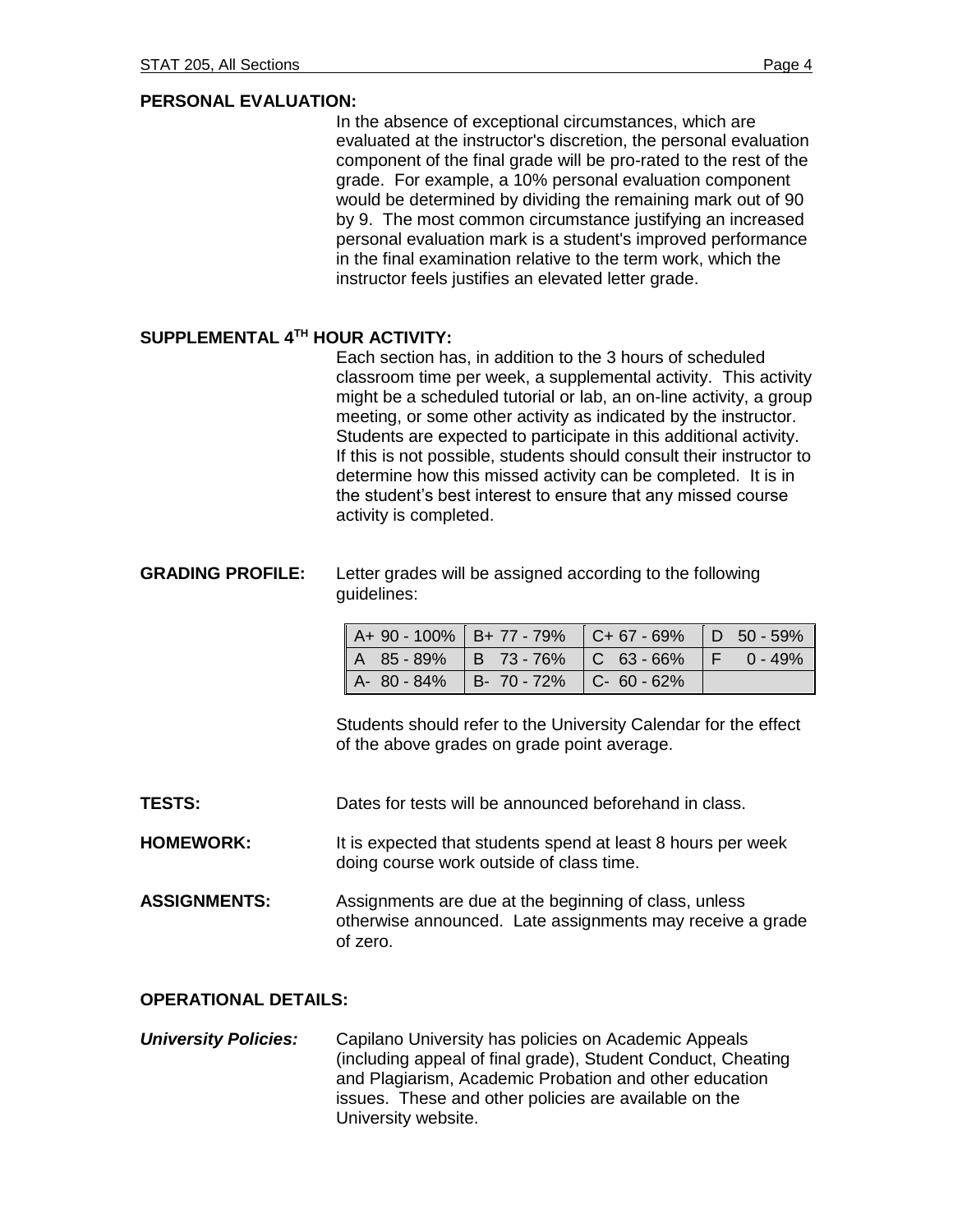In the absence of exceptional circumstances, which are evaluated at the instructor's discretion, the personal evaluation component of the final grade will be pro-rated to the rest of the grade. For example, a 10% personal evaluation component would be determined by dividing the remaining mark out of 90 by 9. The most common circumstance justifying an increased personal evaluation mark is a student's improved performance in the final examination relative to the term work, which the instructor feels justifies an elevated letter grade.

#### **SUPPLEMENTAL 4 TH HOUR ACTIVITY:**

Each section has, in addition to the 3 hours of scheduled classroom time per week, a supplemental activity. This activity might be a scheduled tutorial or lab, an on-line activity, a group meeting, or some other activity as indicated by the instructor. Students are expected to participate in this additional activity. If this is not possible, students should consult their instructor to determine how this missed activity can be completed. It is in the student's best interest to ensure that any missed course activity is completed.

#### **GRADING PROFILE:** Letter grades will be assigned according to the following guidelines:

| $A+90-100\%$ B+ 77 - 79% C+ 67 - 69% D 50 - 59% |  |  |
|-------------------------------------------------|--|--|
| $A$ 85-89% B 73-76% C 63-66% F 0-49%            |  |  |
| $A - 80 - 84\%$ B- 70 - 72% C- 60 - 62%         |  |  |

Students should refer to the University Calendar for the effect of the above grades on grade point average.

**TESTS:** Dates for tests will be announced beforehand in class.

**HOMEWORK:** It is expected that students spend at least 8 hours per week doing course work outside of class time.

**ASSIGNMENTS:** Assignments are due at the beginning of class, unless otherwise announced. Late assignments may receive a grade of zero.

#### **OPERATIONAL DETAILS:**

*University Policies:* Capilano University has policies on Academic Appeals (including appeal of final grade), Student Conduct, Cheating and Plagiarism, Academic Probation and other education issues. These and other policies are available on the University website.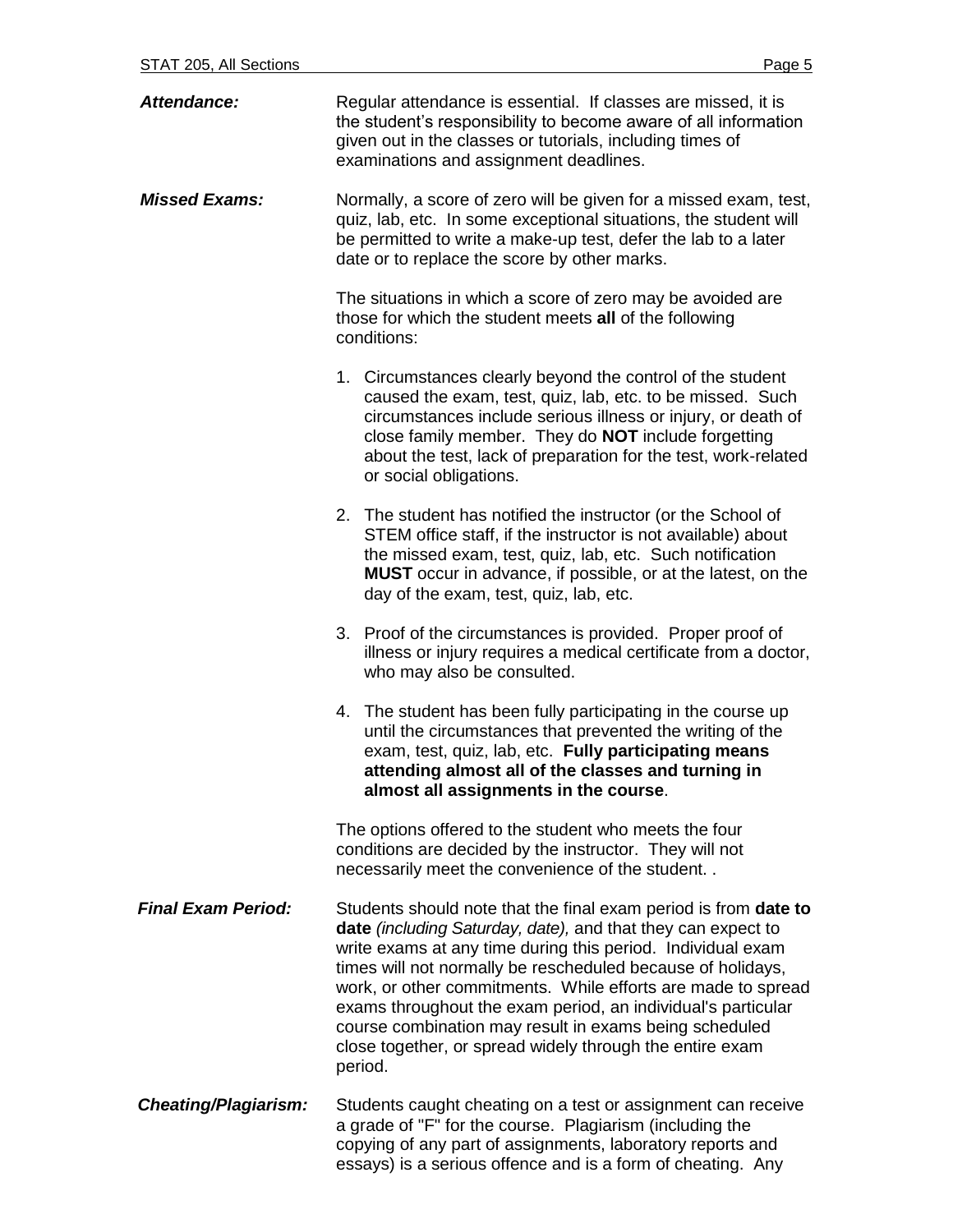| <b>Attendance:</b>          | Regular attendance is essential. If classes are missed, it is<br>the student's responsibility to become aware of all information<br>given out in the classes or tutorials, including times of<br>examinations and assignment deadlines.                                                                                                                                                                                                                                                                                        |
|-----------------------------|--------------------------------------------------------------------------------------------------------------------------------------------------------------------------------------------------------------------------------------------------------------------------------------------------------------------------------------------------------------------------------------------------------------------------------------------------------------------------------------------------------------------------------|
| <b>Missed Exams:</b>        | Normally, a score of zero will be given for a missed exam, test,<br>quiz, lab, etc. In some exceptional situations, the student will<br>be permitted to write a make-up test, defer the lab to a later<br>date or to replace the score by other marks.                                                                                                                                                                                                                                                                         |
|                             | The situations in which a score of zero may be avoided are<br>those for which the student meets all of the following<br>conditions:                                                                                                                                                                                                                                                                                                                                                                                            |
|                             | 1. Circumstances clearly beyond the control of the student<br>caused the exam, test, quiz, lab, etc. to be missed. Such<br>circumstances include serious illness or injury, or death of<br>close family member. They do <b>NOT</b> include forgetting<br>about the test, lack of preparation for the test, work-related<br>or social obligations.                                                                                                                                                                              |
|                             | 2. The student has notified the instructor (or the School of<br>STEM office staff, if the instructor is not available) about<br>the missed exam, test, quiz, lab, etc. Such notification<br><b>MUST</b> occur in advance, if possible, or at the latest, on the<br>day of the exam, test, quiz, lab, etc.                                                                                                                                                                                                                      |
|                             | 3. Proof of the circumstances is provided. Proper proof of<br>illness or injury requires a medical certificate from a doctor,<br>who may also be consulted.                                                                                                                                                                                                                                                                                                                                                                    |
|                             | 4. The student has been fully participating in the course up<br>until the circumstances that prevented the writing of the<br>exam, test, quiz, lab, etc. Fully participating means<br>attending almost all of the classes and turning in<br>almost all assignments in the course                                                                                                                                                                                                                                               |
|                             | The options offered to the student who meets the four<br>conditions are decided by the instructor. They will not<br>necessarily meet the convenience of the student                                                                                                                                                                                                                                                                                                                                                            |
| <b>Final Exam Period:</b>   | Students should note that the final exam period is from date to<br>date (including Saturday, date), and that they can expect to<br>write exams at any time during this period. Individual exam<br>times will not normally be rescheduled because of holidays,<br>work, or other commitments. While efforts are made to spread<br>exams throughout the exam period, an individual's particular<br>course combination may result in exams being scheduled<br>close together, or spread widely through the entire exam<br>period. |
| <b>Cheating/Plagiarism:</b> | Students caught cheating on a test or assignment can receive<br>a grade of "F" for the course. Plagiarism (including the<br>copying of any part of assignments, laboratory reports and<br>essays) is a serious offence and is a form of cheating. Any                                                                                                                                                                                                                                                                          |